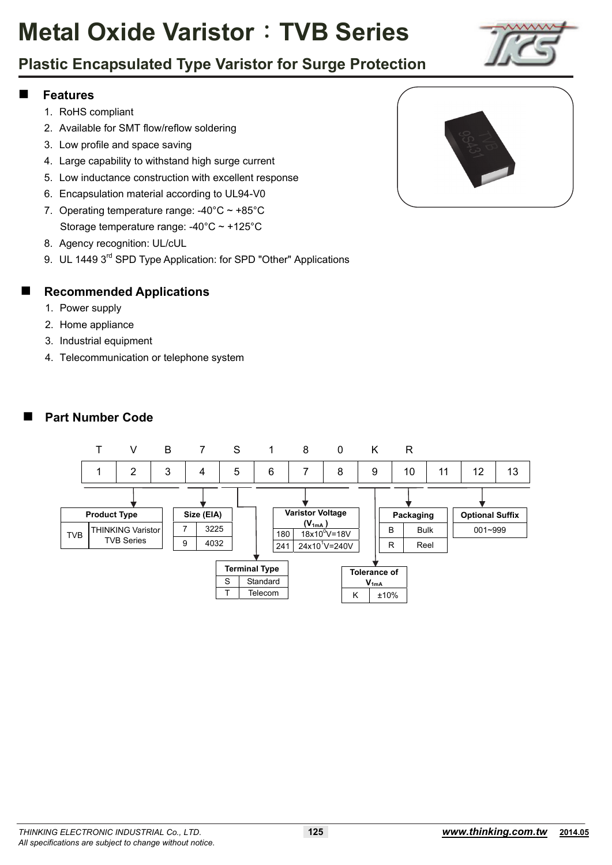# **Plastic Encapsulated Type Varistor for Surge Protection**

#### **Features**

- 1. RoHS compliant
- 2. Available for SMT flow/reflow soldering
- 3. Low profile and space saving
- 4. Large capability to withstand high surge current
- 5. Low inductance construction with excellent response
- 6. Encapsulation material according to UL94-V0
- 7. Operating temperature range:  $-40^{\circ}$ C ~  $+85^{\circ}$ C Storage temperature range: -40°C ~ +125°C
- 8. Agency recognition: UL/cUL
- 9. UL 1449 3<sup>rd</sup> SPD Type Application: for SPD "Other" Applications

#### **Recommended Applications**

- 1. Power supply
- 2. Home appliance
- 3. Industrial equipment
- 4. Telecommunication or telephone system



#### **Part Number Code**

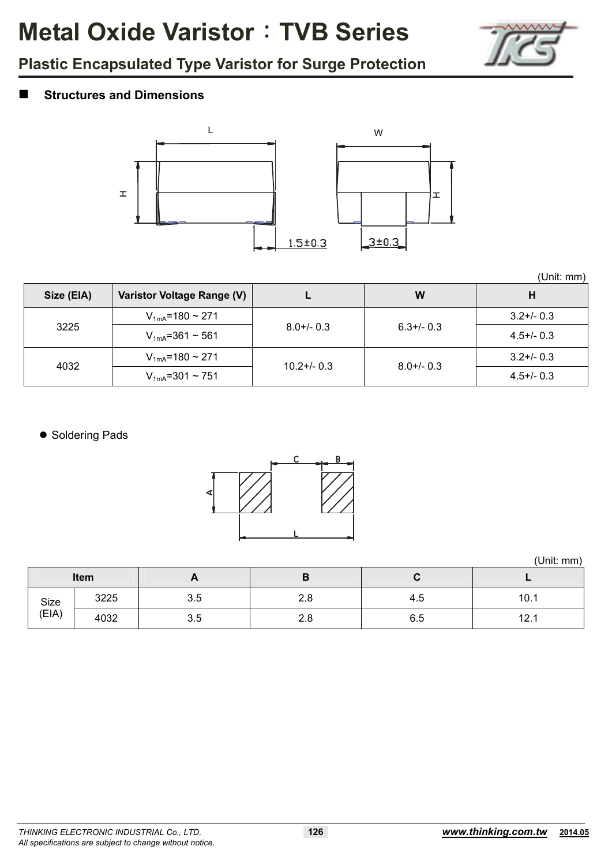

# **Plastic Encapsulated Type Varistor for Surge Protection**

### **Structures and Dimensions**



|  | (Unit: mm) |
|--|------------|

|            |                             |                 |                 | (Unit: mm)      |
|------------|-----------------------------|-----------------|-----------------|-----------------|
| Size (EIA) | Varistor Voltage Range (V)  |                 | W               | н               |
|            | $V_{1mA}$ =180 ~ 271        |                 |                 | $3.2 + / - 0.3$ |
| 3225       | $V_{1mA} = 361 \approx 561$ | $8.0 + / - 0.3$ | $6.3 + / - 0.3$ | $4.5 + (-0.3)$  |
| 4032       | $V_{1mA}$ =180 ~ 271        | $10.2 + 0.3$    | $8.0 + / - 0.3$ | $3.2 + / - 0.3$ |
|            | $V_{1mA} = 301 \approx 751$ |                 |                 | $4.5 + (-0.3)$  |

• Soldering Pads



(Unit: mm)

|               | Item | r   | D   | ີ   |      |
|---------------|------|-----|-----|-----|------|
| Size<br>(EIA) | 3225 | 3.5 | 2.8 | 4.5 | 10.1 |
|               | 4032 | 3.5 | 2.8 | 6.5 | 12.1 |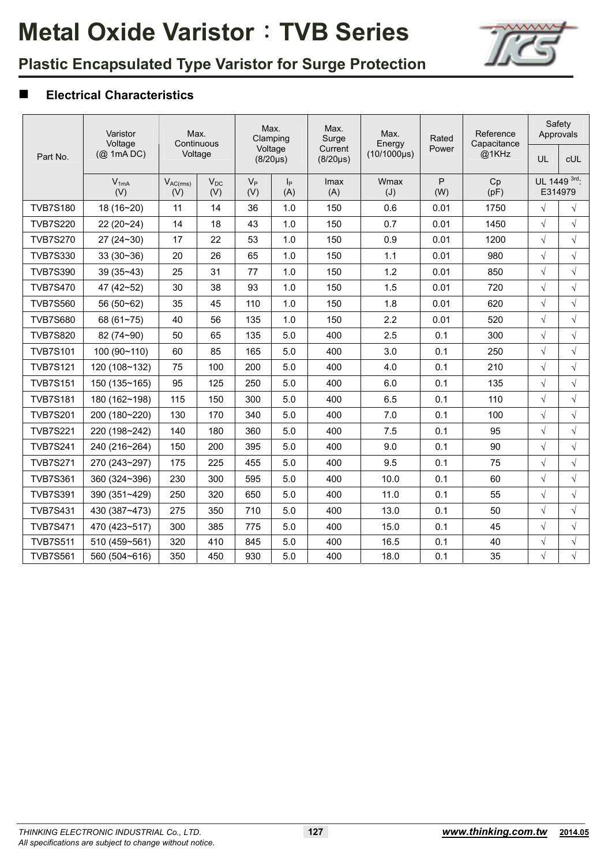

# **Plastic Encapsulated Type Varistor for Surge Protection**

### **Electrical Characteristics**

|                 | Varistor<br>Voltage | Max.<br>Continuous   |                 | Max.<br>Clamping |                           | Max.<br>Surge             | Max.<br>Energy   | Rated    | Reference<br>Capacitance | Safety<br>Approvals |                         |
|-----------------|---------------------|----------------------|-----------------|------------------|---------------------------|---------------------------|------------------|----------|--------------------------|---------------------|-------------------------|
| Part No.        | $(Q$ 1mA DC)        |                      | Voltage         |                  | Voltage<br>$(8/20 \mu s)$ | Current<br>$(8/20 \mu s)$ | $(10/1000\mu s)$ | Power    | @1KHz                    | UL                  | <b>CUL</b>              |
|                 | $V_{1mA}$<br>(V)    | $V_{AC(rms)}$<br>(V) | $V_{DC}$<br>(V) | $V_P$<br>(V)     | p <br>(A)                 | Imax<br>(A)               | Wmax<br>(J)      | P<br>(W) | Cp<br>(pF)               |                     | UL 1449 3rd.<br>E314979 |
| <b>TVB7S180</b> | 18 (16~20)          | 11                   | 14              | 36               | 1.0                       | 150                       | 0.6              | 0.01     | 1750                     | $\sqrt{ }$          | $\sqrt{ }$              |
| <b>TVB7S220</b> | 22 (20~24)          | 14                   | 18              | 43               | 1.0                       | 150                       | 0.7              | 0.01     | 1450                     | $\sqrt{}$           | $\sqrt{}$               |
| <b>TVB7S270</b> | $27(24-30)$         | 17                   | 22              | 53               | 1.0                       | 150                       | 0.9              | 0.01     | 1200                     | $\sqrt{}$           | $\sqrt{ }$              |
| <b>TVB7S330</b> | $33(30-36)$         | 20                   | 26              | 65               | 1.0                       | 150                       | 1.1              | 0.01     | 980                      | $\sqrt{ }$          | $\sqrt{ }$              |
| <b>TVB7S390</b> | $39(35-43)$         | 25                   | 31              | 77               | 1.0                       | 150                       | 1.2              | 0.01     | 850                      | $\sqrt{ }$          | $\sqrt{ }$              |
| <b>TVB7S470</b> | 47 (42~52)          | 30                   | 38              | 93               | 1.0                       | 150                       | 1.5              | 0.01     | 720                      | $\sqrt{ }$          | $\sqrt{ }$              |
| <b>TVB7S560</b> | 56 (50~62)          | 35                   | 45              | 110              | 1.0                       | 150                       | 1.8              | 0.01     | 620                      | $\sqrt{ }$          | $\sqrt{ }$              |
| <b>TVB7S680</b> | 68 $(61 - 75)$      | 40                   | 56              | 135              | 1.0                       | 150                       | 2.2              | 0.01     | 520                      | $\sqrt{}$           | $\sqrt{ }$              |
| <b>TVB7S820</b> | 82 (74~90)          | 50                   | 65              | 135              | 5.0                       | 400                       | 2.5              | 0.1      | 300                      | $\sqrt{}$           | $\sqrt{ }$              |
| <b>TVB7S101</b> | 100 (90~110)        | 60                   | 85              | 165              | 5.0                       | 400                       | 3.0              | 0.1      | 250                      | $\sqrt{ }$          | $\sqrt{ }$              |
| <b>TVB7S121</b> | 120 (108~132)       | 75                   | 100             | 200              | 5.0                       | 400                       | 4.0              | 0.1      | 210                      | $\sqrt{}$           | $\sqrt{ }$              |
| <b>TVB7S151</b> | 150 (135~165)       | 95                   | 125             | 250              | 5.0                       | 400                       | 6.0              | 0.1      | 135                      | $\sqrt{}$           | $\sqrt{ }$              |
| <b>TVB7S181</b> | 180 (162~198)       | 115                  | 150             | 300              | 5.0                       | 400                       | 6.5              | 0.1      | 110                      | $\sqrt{}$           | $\sqrt{ }$              |
| <b>TVB7S201</b> | 200 (180~220)       | 130                  | 170             | 340              | 5.0                       | 400                       | 7.0              | 0.1      | 100                      | $\sqrt{ }$          | $\sqrt{ }$              |
| <b>TVB7S221</b> | 220 (198~242)       | 140                  | 180             | 360              | 5.0                       | 400                       | 7.5              | 0.1      | 95                       | $\sqrt{}$           | $\sqrt{ }$              |
| <b>TVB7S241</b> | 240 (216~264)       | 150                  | 200             | 395              | 5.0                       | 400                       | 9.0              | 0.1      | 90                       | $\sqrt{ }$          | $\sqrt{ }$              |
| <b>TVB7S271</b> | 270 (243~297)       | 175                  | 225             | 455              | 5.0                       | 400                       | 9.5              | 0.1      | 75                       | $\sqrt{}$           | $\sqrt{ }$              |
| <b>TVB7S361</b> | 360 (324~396)       | 230                  | 300             | 595              | 5.0                       | 400                       | 10.0             | 0.1      | 60                       | $\sqrt{}$           | $\sqrt{ }$              |
| <b>TVB7S391</b> | 390 (351~429)       | 250                  | 320             | 650              | 5.0                       | 400                       | 11.0             | 0.1      | 55                       | $\sqrt{}$           | $\sqrt{ }$              |
| <b>TVB7S431</b> | 430 (387~473)       | 275                  | 350             | 710              | 5.0                       | 400                       | 13.0             | 0.1      | 50                       | $\sqrt{ }$          | $\sqrt{ }$              |
| <b>TVB7S471</b> | 470 (423~517)       | 300                  | 385             | 775              | 5.0                       | 400                       | 15.0             | 0.1      | 45                       | $\sqrt{ }$          | $\sqrt{ }$              |
| <b>TVB7S511</b> | 510 (459~561)       | 320                  | 410             | 845              | 5.0                       | 400                       | 16.5             | 0.1      | 40                       | $\sqrt{}$           | $\sqrt{ }$              |
| <b>TVB7S561</b> | 560 (504~616)       | 350                  | 450             | 930              | 5.0                       | 400                       | 18.0             | 0.1      | 35                       | $\sqrt{ }$          | $\sqrt{ }$              |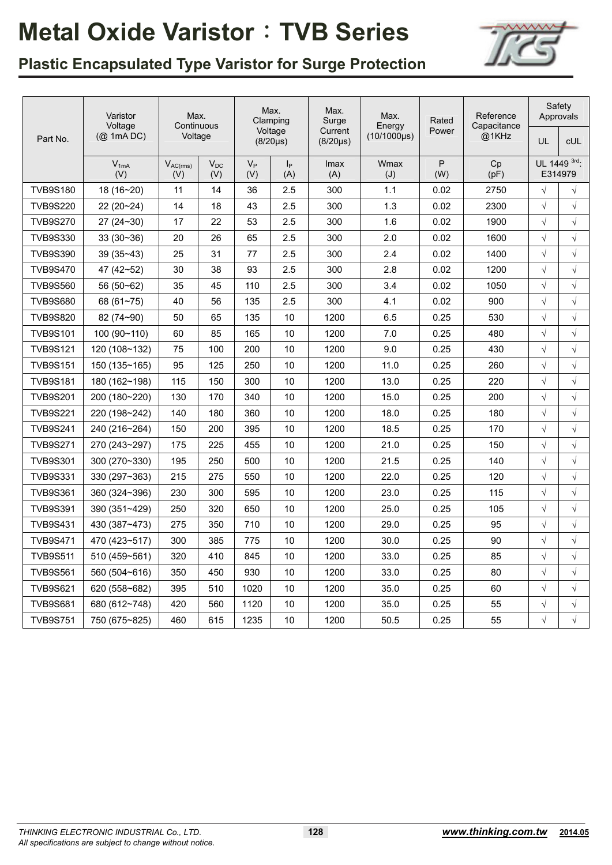

# **Plastic Encapsulated Type Varistor for Surge Protection**

|                 | Varistor              | Max.<br>Continuous   |                 | Max.<br>Clamping |                           | Max.<br>Surge            | Max.                       | Rated    | Reference<br>Capacitance | Safety<br>Approvals |                         |
|-----------------|-----------------------|----------------------|-----------------|------------------|---------------------------|--------------------------|----------------------------|----------|--------------------------|---------------------|-------------------------|
| Part No.        | Voltage<br>(@ 1mA DC) | Voltage              |                 |                  | Voltage<br>$(8/20 \mu s)$ | Current<br>$(8/20\mu s)$ | Energy<br>$(10/1000\mu s)$ | Power    | @1KHz                    | UL                  | cUL                     |
|                 | $V_{1mA}$<br>(V)      | $V_{AC(rms)}$<br>(V) | $V_{DC}$<br>(V) | $V_{P}$<br>(V)   | p <br>(A)                 | Imax<br>(A)              | Wmax<br>(J)                | P<br>(W) | Cp<br>(pF)               |                     | UL 1449 3rd:<br>E314979 |
| <b>TVB9S180</b> | 18 (16~20)            | 11                   | 14              | 36               | 2.5                       | 300                      | 1.1                        | 0.02     | 2750                     | $\sqrt{}$           | $\sqrt{}$               |
| <b>TVB9S220</b> | 22 (20~24)            | 14                   | 18              | 43               | 2.5                       | 300                      | 1.3                        | 0.02     | 2300                     | $\sqrt{}$           | $\sqrt{}$               |
| <b>TVB9S270</b> | $27(24-30)$           | 17                   | 22              | 53               | 2.5                       | 300                      | 1.6                        | 0.02     | 1900                     | $\sqrt{}$           | $\sqrt{}$               |
| <b>TVB9S330</b> | $33(30-36)$           | 20                   | 26              | 65               | 2.5                       | 300                      | 2.0                        | 0.02     | 1600                     | $\sqrt{}$           | $\sqrt{}$               |
| <b>TVB9S390</b> | $39(35-43)$           | 25                   | 31              | 77               | 2.5                       | 300                      | 2.4                        | 0.02     | 1400                     | $\sqrt{}$           | $\sqrt{}$               |
| <b>TVB9S470</b> | 47 (42~52)            | 30                   | 38              | 93               | 2.5                       | 300                      | 2.8                        | 0.02     | 1200                     | $\sqrt{}$           | $\sqrt{}$               |
| <b>TVB9S560</b> | 56 (50~62)            | 35                   | 45              | 110              | 2.5                       | 300                      | 3.4                        | 0.02     | 1050                     | $\sqrt{}$           | $\sqrt{}$               |
| <b>TVB9S680</b> | 68 (61~75)            | 40                   | 56              | 135              | 2.5                       | 300                      | 4.1                        | 0.02     | 900                      | $\sqrt{}$           | $\sqrt{}$               |
| <b>TVB9S820</b> | 82 (74~90)            | 50                   | 65              | 135              | 10                        | 1200                     | 6.5                        | 0.25     | 530                      | $\sqrt{}$           | $\sqrt{}$               |
| <b>TVB9S101</b> | 100 (90~110)          | 60                   | 85              | 165              | 10                        | 1200                     | 7.0                        | 0.25     | 480                      | $\sqrt{}$           | $\sqrt{}$               |
| <b>TVB9S121</b> | 120 (108~132)         | 75                   | 100             | 200              | 10                        | 1200                     | 9.0                        | 0.25     | 430                      | $\sqrt{}$           | $\sqrt{}$               |
| <b>TVB9S151</b> | 150 (135~165)         | 95                   | 125             | 250              | 10                        | 1200                     | 11.0                       | 0.25     | 260                      | $\sqrt{}$           | $\sqrt{}$               |
| <b>TVB9S181</b> | 180 (162~198)         | 115                  | 150             | 300              | 10                        | 1200                     | 13.0                       | 0.25     | 220                      | $\sqrt{}$           | $\sqrt{}$               |
| <b>TVB9S201</b> | 200 (180~220)         | 130                  | 170             | 340              | 10                        | 1200                     | 15.0                       | 0.25     | 200                      | $\sqrt{}$           | $\sqrt{}$               |
| <b>TVB9S221</b> | 220 (198~242)         | 140                  | 180             | 360              | 10                        | 1200                     | 18.0                       | 0.25     | 180                      | $\sqrt{}$           | $\sqrt{}$               |
| <b>TVB9S241</b> | 240 (216~264)         | 150                  | 200             | 395              | 10                        | 1200                     | 18.5                       | 0.25     | 170                      | $\sqrt{}$           | $\sqrt{}$               |
| <b>TVB9S271</b> | 270 (243~297)         | 175                  | 225             | 455              | 10                        | 1200                     | 21.0                       | 0.25     | 150                      | $\sqrt{}$           | $\sqrt{}$               |
| <b>TVB9S301</b> | 300 (270~330)         | 195                  | 250             | 500              | 10                        | 1200                     | 21.5                       | 0.25     | 140                      | $\sqrt{}$           | $\sqrt{}$               |
| <b>TVB9S331</b> | 330 (297~363)         | 215                  | 275             | 550              | 10                        | 1200                     | 22.0                       | 0.25     | 120                      | $\sqrt{}$           | $\sqrt{}$               |
| <b>TVB9S361</b> | 360 (324~396)         | 230                  | 300             | 595              | 10                        | 1200                     | 23.0                       | 0.25     | 115                      | $\sqrt{}$           | $\sqrt{}$               |
| <b>TVB9S391</b> | 390 (351~429)         | 250                  | 320             | 650              | 10                        | 1200                     | 25.0                       | 0.25     | 105                      | $\sqrt{}$           | $\sqrt{}$               |
| <b>TVB9S431</b> | 430 (387~473)         | 275                  | 350             | 710              | 10                        | 1200                     | 29.0                       | 0.25     | 95                       | $\sqrt{}$           | $\sqrt{}$               |
| <b>TVB9S471</b> | 470 (423~517)         | 300                  | 385             | 775              | 10                        | 1200                     | 30.0                       | 0.25     | 90                       | $\sqrt{}$           | $\sqrt{}$               |
| <b>TVB9S511</b> | 510 (459~561)         | 320                  | 410             | 845              | 10                        | 1200                     | 33.0                       | 0.25     | 85                       | $\sqrt{}$           | $\sqrt{}$               |
| <b>TVB9S561</b> | 560 (504~616)         | 350                  | 450             | 930              | 10                        | 1200                     | 33.0                       | 0.25     | 80                       | $\sqrt{}$           | $\sqrt{}$               |
| <b>TVB9S621</b> | 620 (558~682)         | 395                  | 510             | 1020             | 10                        | 1200                     | 35.0                       | 0.25     | 60                       | V                   | $\sqrt{}$               |
| <b>TVB9S681</b> | 680 (612~748)         | 420                  | 560             | 1120             | 10                        | 1200                     | 35.0                       | 0.25     | 55                       | V                   | $\sqrt{}$               |
| <b>TVB9S751</b> | 750 (675~825)         | 460                  | 615             | 1235             | 10                        | 1200                     | 50.5                       | 0.25     | 55                       | $\sqrt{}$           | $\sqrt{}$               |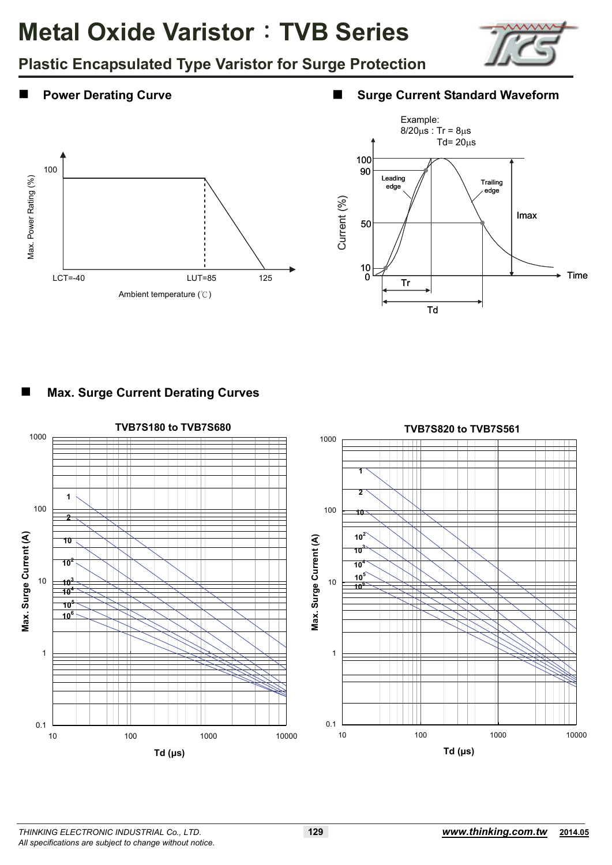

**Plastic Encapsulated Type Varistor for Surge Protection**

#### **Power Derating Curve ■ Surge Current Standard Waveform**





### **Max. Surge Current Derating Curves**

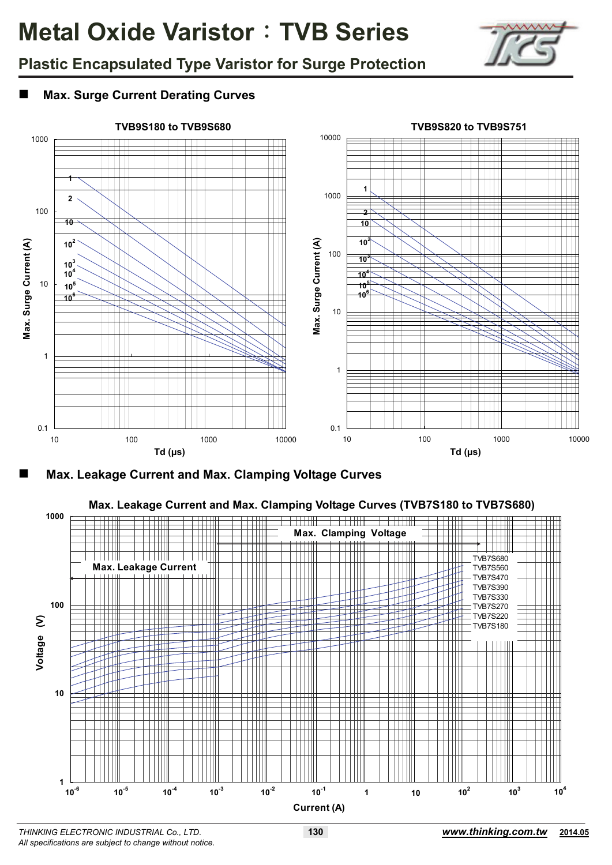

# **Plastic Encapsulated Type Varistor for Surge Protection**

### **Max. Surge Current Derating Curves**



**Max. Leakage Current and Max. Clamping Voltage Curves** 

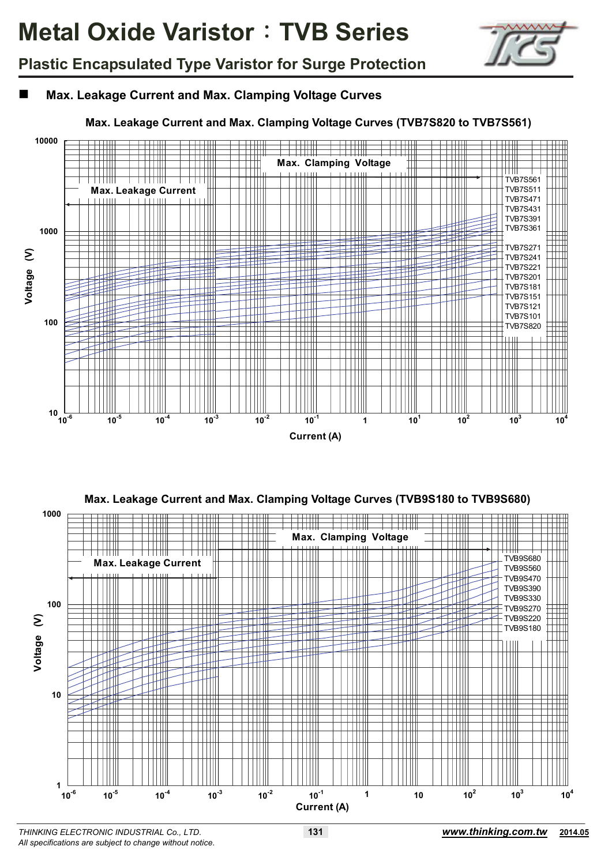

# **Plastic Encapsulated Type Varistor for Surge Protection**

### **Max. Leakage Current and Max. Clamping Voltage Curves**

#### **Max. Leakage Current and Max. Clamping Voltage Curves (TVB7S820 to TVB7S561)**





*All specifications are subject to change without notice.*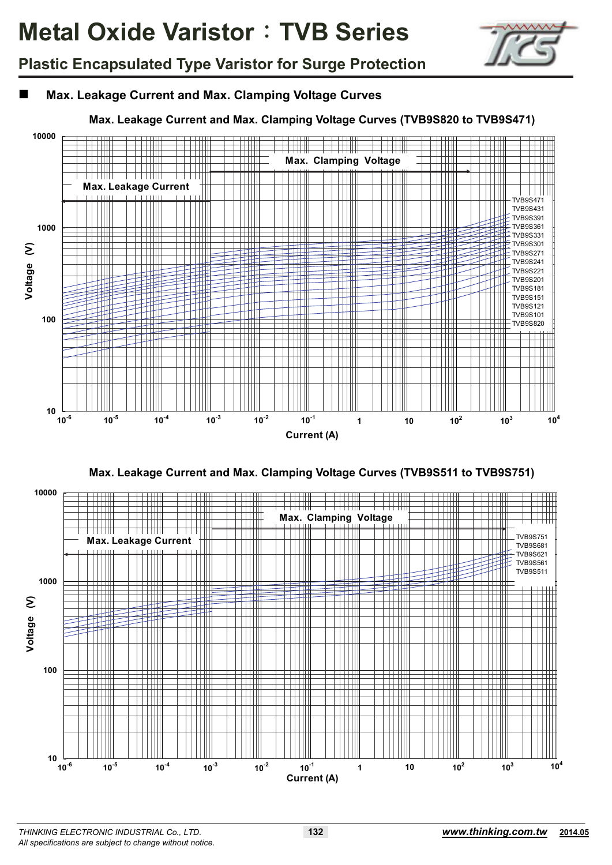

# **Plastic Encapsulated Type Varistor for Surge Protection**

### **Max. Leakage Current and Max. Clamping Voltage Curves**

#### **Max. Leakage Current and Max. Clamping Voltage Curves (TVB9S820 to TVB9S471)**





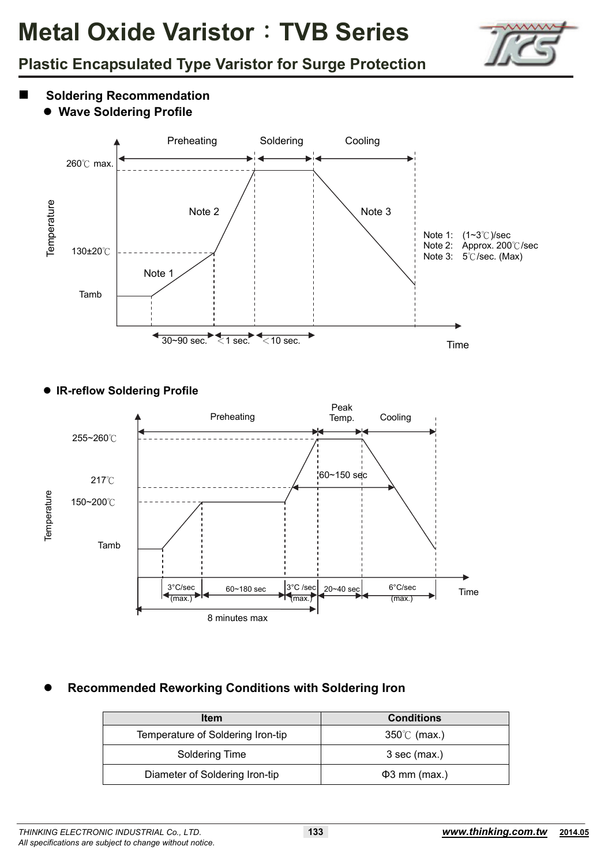

# **Plastic Encapsulated Type Varistor for Surge Protection**

- **Soldering Recommendation**
	- **Wave Soldering Profile**



#### **IR-reflow Soldering Profile**



### **Recommended Reworking Conditions with Soldering Iron**

| <b>Item</b>                       | <b>Conditions</b>    |
|-----------------------------------|----------------------|
| Temperature of Soldering Iron-tip | $350^{\circ}$ (max.) |
| Soldering Time                    | $3$ sec (max.)       |
| Diameter of Soldering Iron-tip    | $\Phi$ 3 mm (max.)   |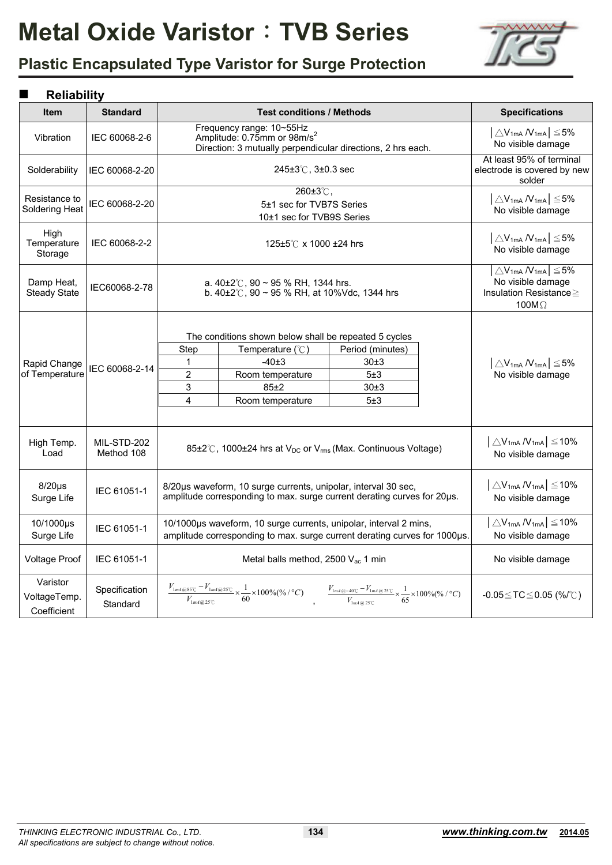

# **Plastic Encapsulated Type Varistor for Surge Protection**

### **Reliability**

|                                         | IWIKUMIIL                 |                                                                                                                                                                                                                          |                                                                                                                                                                                                                                                                                                                                                                                              |                                                |                                                                                                                  |                                                                           |  |  |
|-----------------------------------------|---------------------------|--------------------------------------------------------------------------------------------------------------------------------------------------------------------------------------------------------------------------|----------------------------------------------------------------------------------------------------------------------------------------------------------------------------------------------------------------------------------------------------------------------------------------------------------------------------------------------------------------------------------------------|------------------------------------------------|------------------------------------------------------------------------------------------------------------------|---------------------------------------------------------------------------|--|--|
| <b>Item</b>                             | <b>Standard</b>           |                                                                                                                                                                                                                          | <b>Test conditions / Methods</b>                                                                                                                                                                                                                                                                                                                                                             |                                                |                                                                                                                  | <b>Specifications</b>                                                     |  |  |
| Vibration                               | IEC 60068-2-6             |                                                                                                                                                                                                                          | Frequency range: 10~55Hz<br>Amplitude: 0.75mm or 98m/s <sup>2</sup><br>Direction: 3 mutually perpendicular directions, 2 hrs each.                                                                                                                                                                                                                                                           |                                                | $\left\lfloor \triangle V_{1mA} N_{1mA} \right\rfloor \leq 5\%$<br>No visible damage                             |                                                                           |  |  |
| Solderability                           | IEC 60068-2-20            |                                                                                                                                                                                                                          | 245±3°C, 3±0.3 sec                                                                                                                                                                                                                                                                                                                                                                           |                                                |                                                                                                                  | At least 95% of terminal<br>electrode is covered by new<br>solder         |  |  |
| Resistance to<br>Soldering Heat         | IEC 60068-2-20            |                                                                                                                                                                                                                          | 260±3℃,<br>5±1 sec for TVB7S Series<br>10±1 sec for TVB9S Series                                                                                                                                                                                                                                                                                                                             |                                                |                                                                                                                  | $\left  \triangle V_{1mA} N_{1mA} \right  \leq 5\%$<br>No visible damage  |  |  |
| High<br>Temperature<br>Storage          | IEC 60068-2-2             |                                                                                                                                                                                                                          | 125±5℃ x 1000 ±24 hrs                                                                                                                                                                                                                                                                                                                                                                        |                                                |                                                                                                                  | $\left  \triangle V_{1mA} N_{1mA} \right  \leq 5\%$<br>No visible damage  |  |  |
| Damp Heat,<br><b>Steady State</b>       | IEC60068-2-78             |                                                                                                                                                                                                                          | a. $40\pm2^{\circ}$ C, 90 ~ 95 % RH, 1344 hrs.<br>b. $40\pm2^{\circ}$ C, 90 ~ 95 % RH, at 10%Vdc, 1344 hrs                                                                                                                                                                                                                                                                                   |                                                | $\vert \triangle V_{1mA} N_{1mA} \vert \leq 5\%$<br>No visible damage<br>Insulation Resistance≥<br>100 $M\Omega$ |                                                                           |  |  |
| Rapid Change<br>of Temperature          | IEC 60068-2-14            | Step<br>1<br>$\overline{2}$<br>3<br>4                                                                                                                                                                                    | The conditions shown below shall be repeated 5 cycles<br>Temperature $(^\circ \mathbb{C})$<br>$-40±3$<br>Room temperature<br>$85+2$<br>Room temperature                                                                                                                                                                                                                                      | Period (minutes)<br>30±3<br>5±3<br>30±3<br>5±3 |                                                                                                                  | $\left \bigtriangleup V_{1mA}N_{1mA}\right \leq 5\%$<br>No visible damage |  |  |
| High Temp.<br>Load                      | MIL-STD-202<br>Method 108 |                                                                                                                                                                                                                          | 85±2℃, 1000±24 hrs at V <sub>DC</sub> or V <sub>rms</sub> (Max. Continuous Voltage)                                                                                                                                                                                                                                                                                                          |                                                | $ \triangle V_{1mA} N_{1mA}  \leq 10\%$<br>No visible damage                                                     |                                                                           |  |  |
| $8/20\mu s$<br>Surge Life               | IEC 61051-1               |                                                                                                                                                                                                                          | $\left \bigtriangleup V_{1mA} N_{1mA}\right  \leq 10\%$<br>8/20us waveform, 10 surge currents, unipolar, interval 30 sec,<br>amplitude corresponding to max. surge current derating curves for 20µs.<br>No visible damage                                                                                                                                                                    |                                                |                                                                                                                  |                                                                           |  |  |
| 10/1000µs<br>Surge Life                 | IEC 61051-1               | $\triangle$ V <sub>1mA</sub> $N_{1mA}$ $\leq$ 10%<br>10/1000µs waveform, 10 surge currents, unipolar, interval 2 mins,<br>No visible damage<br>amplitude corresponding to max. surge current derating curves for 1000µs. |                                                                                                                                                                                                                                                                                                                                                                                              |                                                |                                                                                                                  |                                                                           |  |  |
| <b>Voltage Proof</b>                    | IEC 61051-1               |                                                                                                                                                                                                                          | Metal balls method, 2500 Vac 1 min<br>No visible damage                                                                                                                                                                                                                                                                                                                                      |                                                |                                                                                                                  |                                                                           |  |  |
| Varistor<br>VoltageTemp.<br>Coefficient | Specification<br>Standard |                                                                                                                                                                                                                          | $\frac{V_{\mathrm{Im} 4@85^\circ\!} - V_{\mathrm{Im} 4@25^\circ\!} }{V_{\mathrm{Im} 4@25^\circ\!} - V_{\mathrm{Im} 4@25^\circ\!} } \times \frac{1}{60} \times 100\% (\% / \degree C) \quad , \quad \frac{V_{\mathrm{Im} 4@^{-40^\circ\!} - V_{\mathrm{Im} 4@25^\circ\!} } }{V_{\mathrm{Im} 4@25^\circ\!} - V_{\mathrm{Im} 4@25^\circ\!} } \times \frac{1}{65} \times 100\% (\% / \degree C)$ |                                                |                                                                                                                  | -0.05 ≤ TC ≤ 0.05 (%/°C)                                                  |  |  |